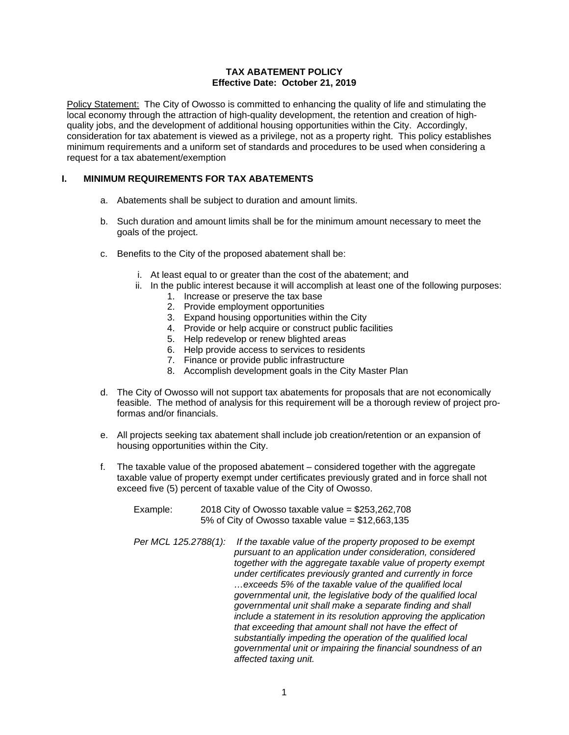#### **TAX ABATEMENT POLICY Effective Date: October 21, 2019**

Policy Statement: The City of Owosso is committed to enhancing the quality of life and stimulating the local economy through the attraction of high-quality development, the retention and creation of highquality jobs, and the development of additional housing opportunities within the City. Accordingly, consideration for tax abatement is viewed as a privilege, not as a property right. This policy establishes minimum requirements and a uniform set of standards and procedures to be used when considering a request for a tax abatement/exemption

# **I. MINIMUM REQUIREMENTS FOR TAX ABATEMENTS**

- a. Abatements shall be subject to duration and amount limits.
- b. Such duration and amount limits shall be for the minimum amount necessary to meet the goals of the project.
- c. Benefits to the City of the proposed abatement shall be:
	- i. At least equal to or greater than the cost of the abatement; and
	- ii. In the public interest because it will accomplish at least one of the following purposes:
		- 1. Increase or preserve the tax base
		- 2. Provide employment opportunities
		- 3. Expand housing opportunities within the City
		- 4. Provide or help acquire or construct public facilities
		- 5. Help redevelop or renew blighted areas
		- 6. Help provide access to services to residents
		- 7. Finance or provide public infrastructure
		- 8. Accomplish development goals in the City Master Plan
- d. The City of Owosso will not support tax abatements for proposals that are not economically feasible. The method of analysis for this requirement will be a thorough review of project proformas and/or financials.
- e. All projects seeking tax abatement shall include job creation/retention or an expansion of housing opportunities within the City.
- f. The taxable value of the proposed abatement considered together with the aggregate taxable value of property exempt under certificates previously grated and in force shall not exceed five (5) percent of taxable value of the City of Owosso.
	- Example: 2018 City of Owosso taxable value = \$253,262,708 5% of City of Owosso taxable value = \$12,663,135
	- *Per MCL 125.2788(1): If the taxable value of the property proposed to be exempt pursuant to an application under consideration, considered together with the aggregate taxable value of property exempt under certificates previously granted and currently in force …exceeds 5% of the taxable value of the qualified local governmental unit, the legislative body of the qualified local governmental unit shall make a separate finding and shall include a statement in its resolution approving the application that exceeding that amount shall not have the effect of substantially impeding the operation of the qualified local governmental unit or impairing the financial soundness of an affected taxing unit.*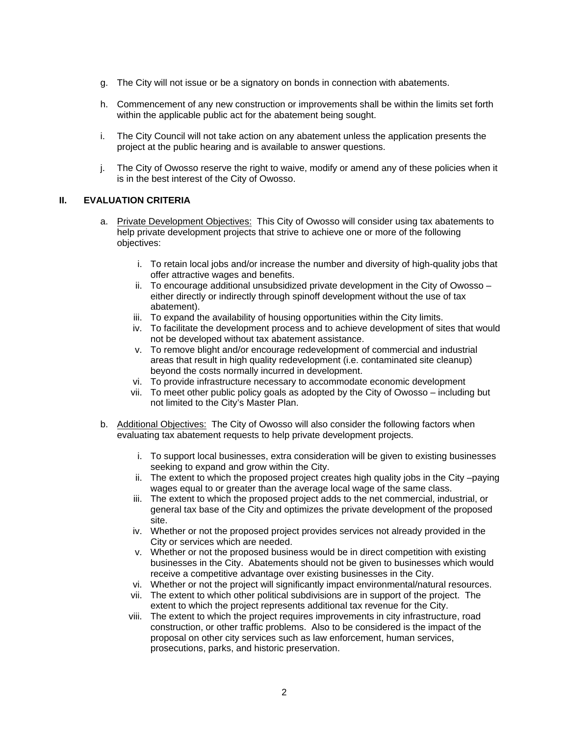- g. The City will not issue or be a signatory on bonds in connection with abatements.
- h. Commencement of any new construction or improvements shall be within the limits set forth within the applicable public act for the abatement being sought.
- i. The City Council will not take action on any abatement unless the application presents the project at the public hearing and is available to answer questions.
- j. The City of Owosso reserve the right to waive, modify or amend any of these policies when it is in the best interest of the City of Owosso.

#### **II. EVALUATION CRITERIA**

- a. Private Development Objectives: This City of Owosso will consider using tax abatements to help private development projects that strive to achieve one or more of the following objectives:
	- i. To retain local jobs and/or increase the number and diversity of high-quality jobs that offer attractive wages and benefits.
	- ii. To encourage additional unsubsidized private development in the City of Owosso either directly or indirectly through spinoff development without the use of tax abatement).
	- iii. To expand the availability of housing opportunities within the City limits.
	- iv. To facilitate the development process and to achieve development of sites that would not be developed without tax abatement assistance.
	- v. To remove blight and/or encourage redevelopment of commercial and industrial areas that result in high quality redevelopment (i.e. contaminated site cleanup) beyond the costs normally incurred in development.
	- vi. To provide infrastructure necessary to accommodate economic development
	- vii. To meet other public policy goals as adopted by the City of Owosso including but not limited to the City's Master Plan.
- b. Additional Objectives: The City of Owosso will also consider the following factors when evaluating tax abatement requests to help private development projects.
	- i. To support local businesses, extra consideration will be given to existing businesses seeking to expand and grow within the City.
	- ii. The extent to which the proposed project creates high quality jobs in the City –paying wages equal to or greater than the average local wage of the same class.
	- iii. The extent to which the proposed project adds to the net commercial, industrial, or general tax base of the City and optimizes the private development of the proposed site.
	- iv. Whether or not the proposed project provides services not already provided in the City or services which are needed.
	- v. Whether or not the proposed business would be in direct competition with existing businesses in the City. Abatements should not be given to businesses which would receive a competitive advantage over existing businesses in the City.
	- vi. Whether or not the project will significantly impact environmental/natural resources.
	- vii. The extent to which other political subdivisions are in support of the project. The extent to which the project represents additional tax revenue for the City.
	- viii. The extent to which the project requires improvements in city infrastructure, road construction, or other traffic problems. Also to be considered is the impact of the proposal on other city services such as law enforcement, human services, prosecutions, parks, and historic preservation.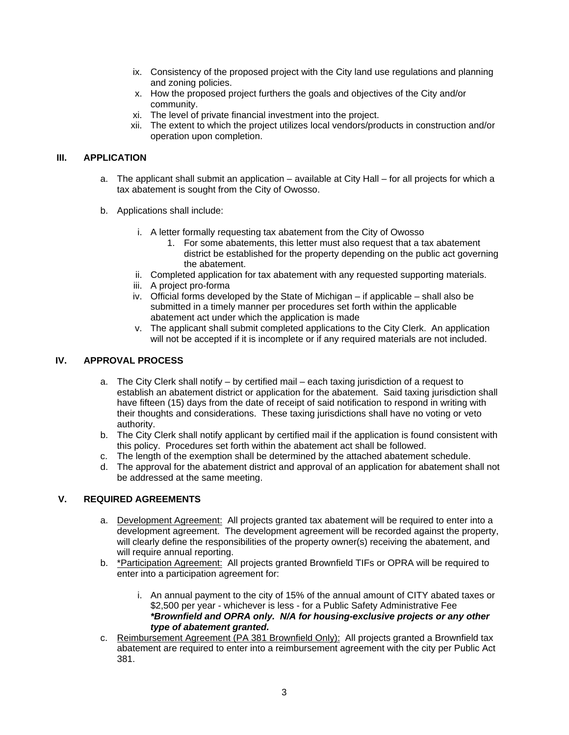- ix. Consistency of the proposed project with the City land use regulations and planning and zoning policies.
- x. How the proposed project furthers the goals and objectives of the City and/or community.
- xi. The level of private financial investment into the project.
- xii. The extent to which the project utilizes local vendors/products in construction and/or operation upon completion.

## **III. APPLICATION**

- a. The applicant shall submit an application available at City Hall for all projects for which a tax abatement is sought from the City of Owosso.
- b. Applications shall include:
	- i. A letter formally requesting tax abatement from the City of Owosso
		- 1. For some abatements, this letter must also request that a tax abatement district be established for the property depending on the public act governing the abatement.
	- ii. Completed application for tax abatement with any requested supporting materials.
	- iii. A project pro-forma
	- iv. Official forms developed by the State of Michigan if applicable shall also be submitted in a timely manner per procedures set forth within the applicable abatement act under which the application is made
	- v. The applicant shall submit completed applications to the City Clerk. An application will not be accepted if it is incomplete or if any required materials are not included.

# **IV. APPROVAL PROCESS**

- a. The City Clerk shall notify by certified mail each taxing jurisdiction of a request to establish an abatement district or application for the abatement. Said taxing jurisdiction shall have fifteen (15) days from the date of receipt of said notification to respond in writing with their thoughts and considerations. These taxing jurisdictions shall have no voting or veto authority.
- b. The City Clerk shall notify applicant by certified mail if the application is found consistent with this policy. Procedures set forth within the abatement act shall be followed.
- c. The length of the exemption shall be determined by the attached abatement schedule.
- d. The approval for the abatement district and approval of an application for abatement shall not be addressed at the same meeting.

## **V. REQUIRED AGREEMENTS**

- a. Development Agreement: All projects granted tax abatement will be required to enter into a development agreement. The development agreement will be recorded against the property, will clearly define the responsibilities of the property owner(s) receiving the abatement, and will require annual reporting.
- b. \*Participation Agreement: All projects granted Brownfield TIFs or OPRA will be required to enter into a participation agreement for:
	- i. An annual payment to the city of 15% of the annual amount of CITY abated taxes or \$2,500 per year - whichever is less - for a Public Safety Administrative Fee *\*Brownfield and OPRA only. N/A for housing-exclusive projects or any other type of abatement granted.*
- c. Reimbursement Agreement (PA 381 Brownfield Only): All projects granted a Brownfield tax abatement are required to enter into a reimbursement agreement with the city per Public Act 381.